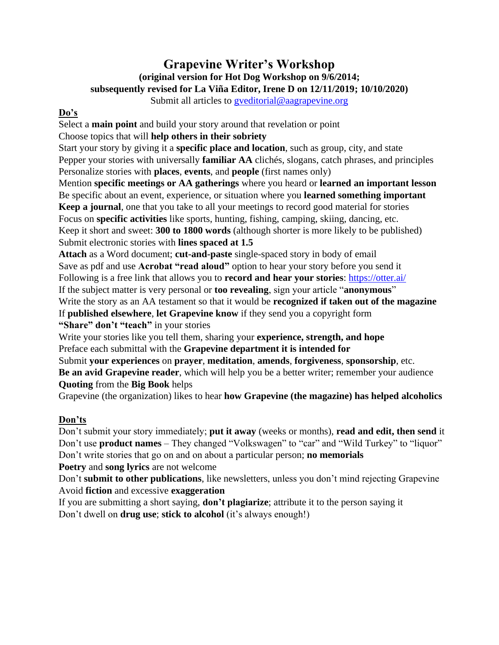# **Grapevine Writer's Workshop (original version for Hot Dog Workshop on 9/6/2014; subsequently revised for La Viña Editor, Irene D on 12/11/2019; 10/10/2020)**

Submit all articles to [gveditorial@aagrapevine.org](mailto:gveditorial@aagrapevine.org)

## **Do's**

Select a **main point** and build your story around that revelation or point Choose topics that will **help others in their sobriety**

Start your story by giving it a **specific place and location**, such as group, city, and state Pepper your stories with universally **familiar AA** clichés, slogans, catch phrases, and principles Personalize stories with **places**, **events**, and **people** (first names only)

Mention **specific meetings or AA gatherings** where you heard or **learned an important lesson** Be specific about an event, experience, or situation where you **learned something important Keep a journal**, one that you take to all your meetings to record good material for stories Focus on **specific activities** like sports, hunting, fishing, camping, skiing, dancing, etc. Keep it short and sweet: **300 to 1800 words** (although shorter is more likely to be published)

Submit electronic stories with **lines spaced at 1.5**

**Attach** as a Word document; **cut-and-paste** single-spaced story in body of email Save as pdf and use **Acrobat "read aloud"** option to hear your story before you send it Following is a free link that allows you to **record and hear your stories**:<https://otter.ai/> If the subject matter is very personal or **too revealing**, sign your article "**anonymous**" Write the story as an AA testament so that it would be **recognized if taken out of the magazine** If **published elsewhere**, **let Grapevine know** if they send you a copyright form **"Share" don't "teach"** in your stories

Write your stories like you tell them, sharing your **experience, strength, and hope** Preface each submittal with the **Grapevine department it is intended for**

Submit **your experiences** on **prayer**, **meditation**, **amends**, **forgiveness**, **sponsorship**, etc. **Be an avid Grapevine reader**, which will help you be a better writer; remember your audience **Quoting** from the **Big Book** helps

Grapevine (the organization) likes to hear **how Grapevine (the magazine) has helped alcoholics**

### **Don'ts**

Don't submit your story immediately; **put it away** (weeks or months), **read and edit, then send** it Don't use **product names** – They changed "Volkswagen" to "car" and "Wild Turkey" to "liquor" Don't write stories that go on and on about a particular person; **no memorials**

**Poetry** and **song lyrics** are not welcome

Don't **submit to other publications**, like newsletters, unless you don't mind rejecting Grapevine Avoid **fiction** and excessive **exaggeration**

If you are submitting a short saying, **don't plagiarize**; attribute it to the person saying it Don't dwell on **drug use**; **stick to alcohol** (it's always enough!)